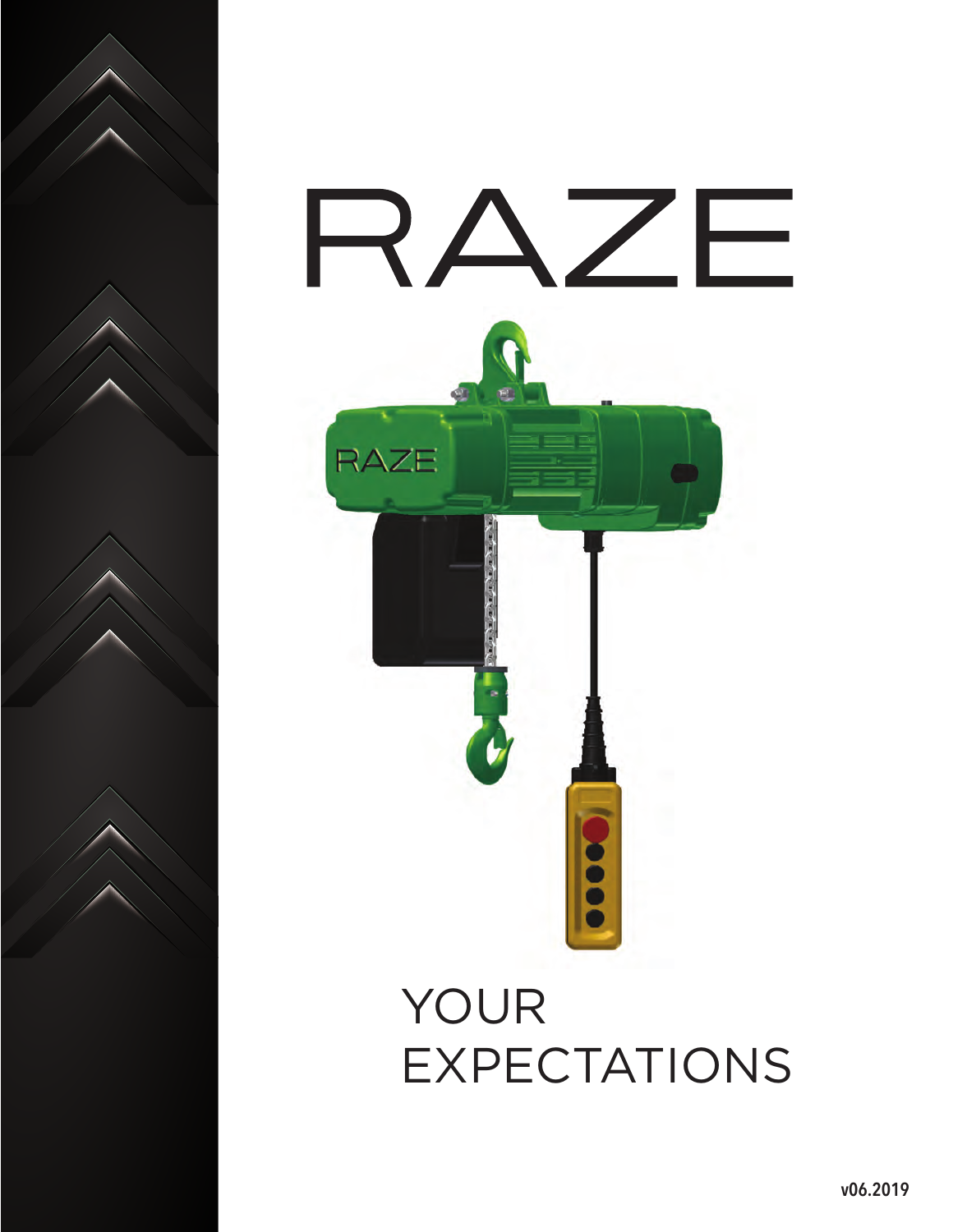



EXPECTATIONS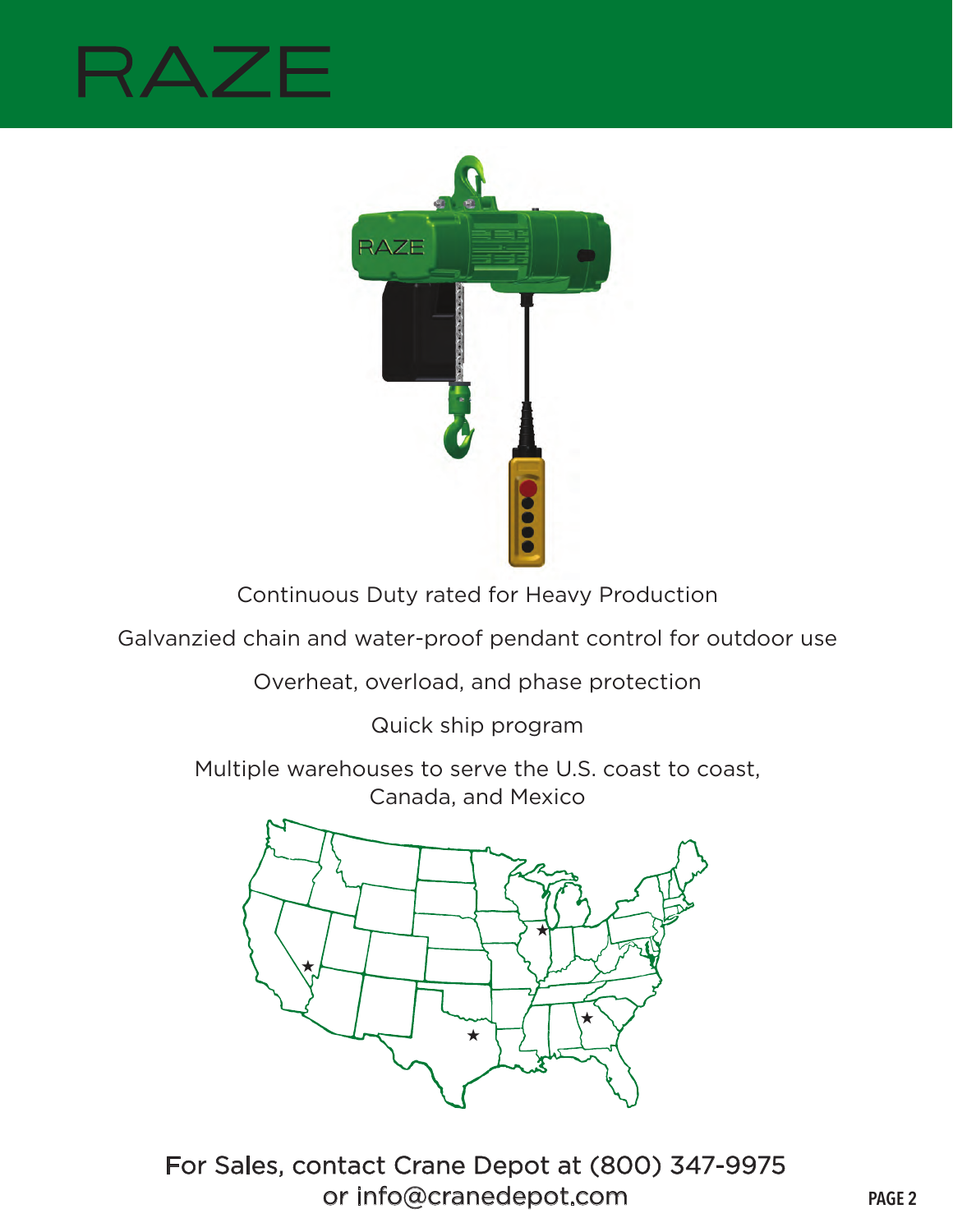## RAZ



Continuous Duty rated for Heavy Production

Galvanzied chain and water-proof pendant control for outdoor use

Overheat, overload, and phase protection

Quick ship program

Multiple warehouses to serve the U.S. coast to coast, Canada, and Mexico



For Sales, contact Crane Depot at (800) 347-9975 or info@cranedepot.com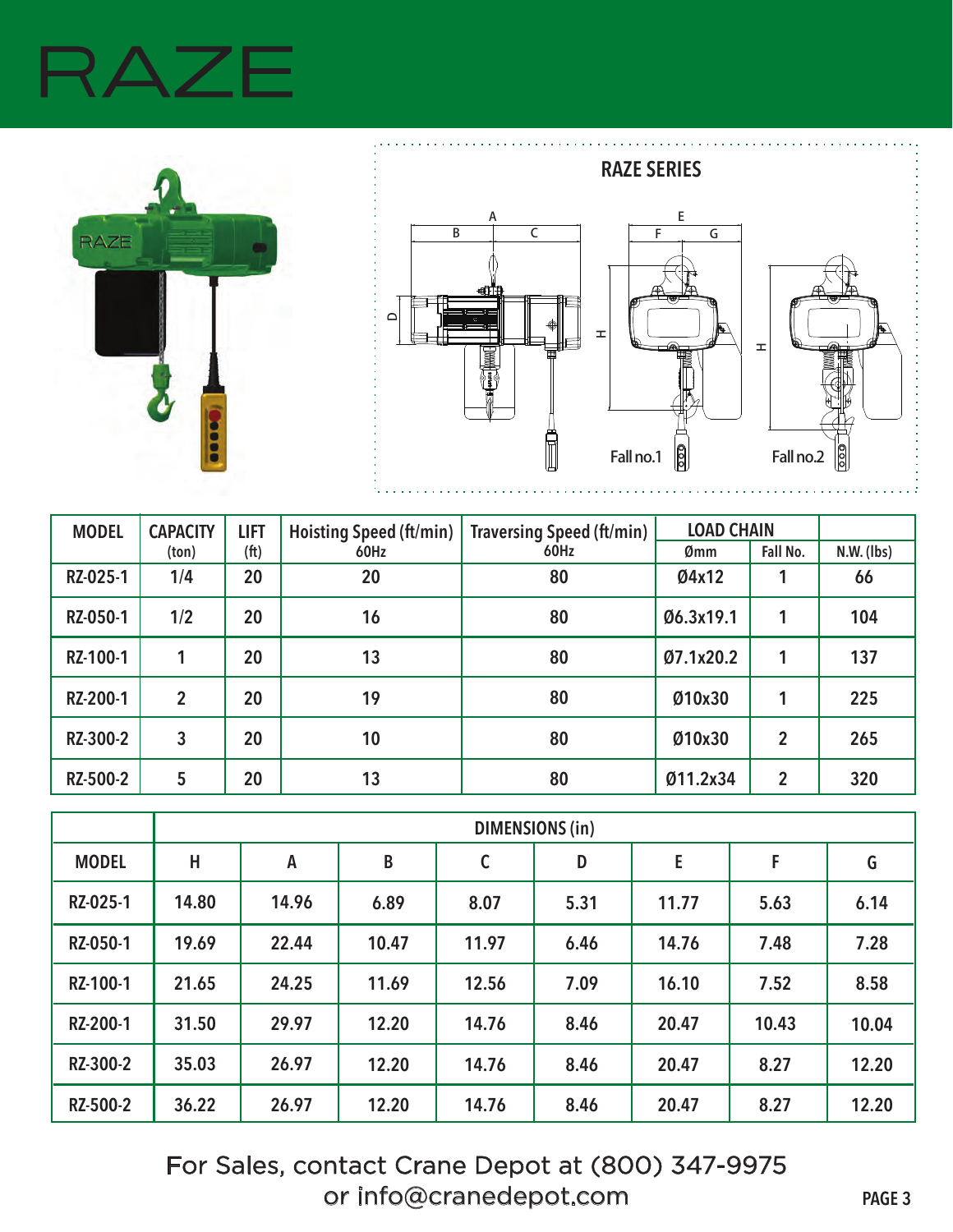## $\Delta$   $\overline{ }$





| <b>MODEL</b> | <b>CAPACITY</b> | <b>LIFT</b>       | <b>Hoisting Speed (ft/min)</b> | <b>Traversing Speed (ft/min)</b> | <b>LOAD CHAIN</b> |                |              |
|--------------|-----------------|-------------------|--------------------------------|----------------------------------|-------------------|----------------|--------------|
|              | (ton)           | (f <sup>t</sup> ) | 60Hz                           | 60Hz                             | Ømm               | Fall No.       | $N.W.$ (lbs) |
| RZ-025-1     | 1/4             | 20                | 20                             | 80                               | Ø4x12             |                | 66           |
| RZ-050-1     | 1/2             | 20                | 16                             | 80                               | Ø6.3x19.1         |                | 104          |
| RZ-100-1     |                 | 20                | 13                             | 80                               | Ø7.1x20.2         |                | 137          |
| RZ-200-1     | $\overline{2}$  | 20                | 19                             | 80                               | Ø10x30            |                | 225          |
| RZ-300-2     | 3               | 20                | 10                             | 80                               | Ø10x30            | $\overline{2}$ | 265          |
| RZ-500-2     | 5               | 20                | 13                             | 80                               | Ø11.2x34          | 2              | 320          |

|              | <b>DIMENSIONS (in)</b> |       |       |              |      |       |       |       |  |
|--------------|------------------------|-------|-------|--------------|------|-------|-------|-------|--|
| <b>MODEL</b> | Н                      | A     | B     | $\mathsf{C}$ | D    | E     | F     | G     |  |
| RZ-025-1     | 14.80                  | 14.96 | 6.89  | 8.07         | 5.31 | 11.77 | 5.63  | 6.14  |  |
| RZ-050-1     | 19.69                  | 22.44 | 10.47 | 11.97        | 6.46 | 14.76 | 7.48  | 7.28  |  |
| RZ-100-1     | 21.65                  | 24.25 | 11.69 | 12.56        | 7.09 | 16.10 | 7.52  | 8.58  |  |
| RZ-200-1     | 31.50                  | 29.97 | 12.20 | 14.76        | 8.46 | 20.47 | 10.43 | 10.04 |  |
| RZ-300-2     | 35.03                  | 26.97 | 12.20 | 14.76        | 8.46 | 20.47 | 8.27  | 12.20 |  |
| RZ-500-2     | 36.22                  | 26.97 | 12.20 | 14.76        | 8.46 | 20.47 | 8.27  | 12.20 |  |

For Sales, contact Crane Depot at (800) 347-9975 or info@cranedepot.com